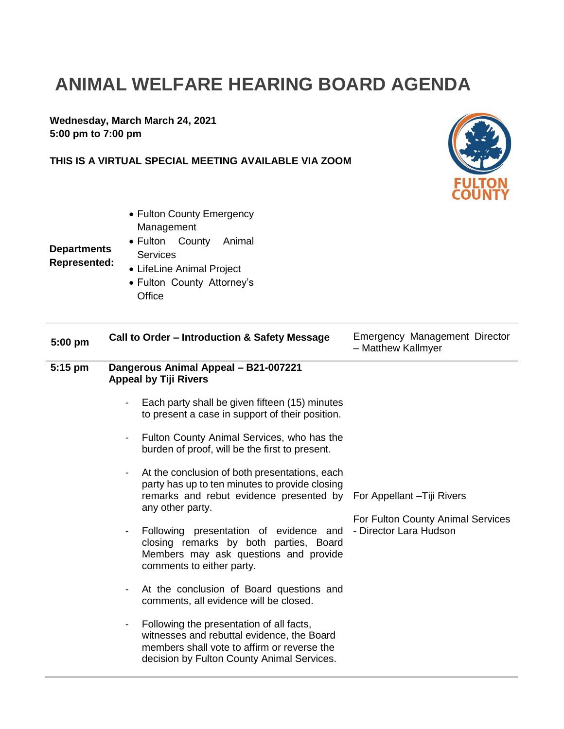## **ANIMAL WELFARE HEARING BOARD AGENDA**

**Wednesday, March March 24, 2021 5:00 pm to 7:00 pm**

## **THIS IS A VIRTUAL SPECIAL MEETING AVAILABLE VIA ZOOM**



Management Fulton County Animal **Services** 

• Fulton County Emergency

## **Departments Represented:**

- LifeLine Animal Project
	- Fulton County Attorney's **Office**

| $5:00$ pm      | Call to Order - Introduction & Safety Message                                                                                                                                                         | Emergency Management Director<br>- Matthew Kallmyer         |
|----------------|-------------------------------------------------------------------------------------------------------------------------------------------------------------------------------------------------------|-------------------------------------------------------------|
| $5:15$ pm      | Dangerous Animal Appeal - B21-007221<br><b>Appeal by Tiji Rivers</b>                                                                                                                                  |                                                             |
|                | Each party shall be given fifteen (15) minutes<br>to present a case in support of their position.                                                                                                     |                                                             |
|                | Fulton County Animal Services, who has the<br>burden of proof, will be the first to present.                                                                                                          |                                                             |
|                | At the conclusion of both presentations, each<br>party has up to ten minutes to provide closing<br>remarks and rebut evidence presented by For Appellant-Tiji Rivers<br>any other party.              | For Fulton County Animal Services<br>- Director Lara Hudson |
| $\blacksquare$ | Following presentation of evidence and<br>closing remarks by both parties, Board<br>Members may ask questions and provide<br>comments to either party.                                                |                                                             |
|                | At the conclusion of Board questions and<br>$\blacksquare$<br>comments, all evidence will be closed.                                                                                                  |                                                             |
|                | Following the presentation of all facts,<br>$\blacksquare$<br>witnesses and rebuttal evidence, the Board<br>members shall vote to affirm or reverse the<br>decision by Fulton County Animal Services. |                                                             |